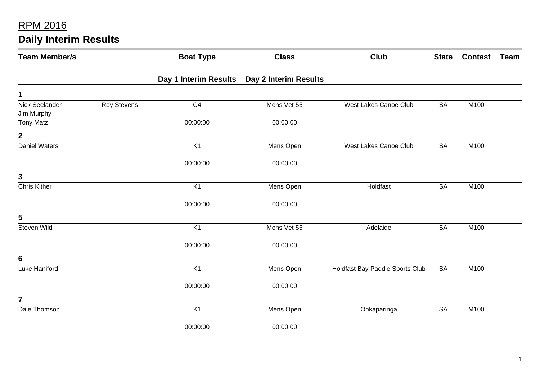| <b>Team Member/s</b>         |                    | <b>Boat Type</b> | <b>Class</b>                                 | <b>Club</b>                     | <b>State</b> | <b>Contest</b> | Team |
|------------------------------|--------------------|------------------|----------------------------------------------|---------------------------------|--------------|----------------|------|
|                              |                    |                  | Day 1 Interim Results  Day 2 Interim Results |                                 |              |                |      |
| 1                            |                    |                  |                                              |                                 |              |                |      |
| Nick Seelander<br>Jim Murphy | <b>Roy Stevens</b> | C <sub>4</sub>   | Mens Vet 55                                  | West Lakes Canoe Club           | <b>SA</b>    | M100           |      |
| <b>Tony Matz</b>             |                    | 00:00:00         | 00:00:00                                     |                                 |              |                |      |
| $\boldsymbol{2}$             |                    |                  |                                              |                                 |              |                |      |
| <b>Daniel Waters</b>         |                    | K1               | Mens Open                                    | West Lakes Canoe Club           | <b>SA</b>    | M100           |      |
|                              |                    | 00:00:00         | 00:00:00                                     |                                 |              |                |      |
| 3                            |                    |                  |                                              |                                 |              |                |      |
| <b>Chris Kither</b>          |                    | K <sub>1</sub>   | Mens Open                                    | Holdfast                        | <b>SA</b>    | M100           |      |
|                              |                    | 00:00:00         | 00:00:00                                     |                                 |              |                |      |
| 5                            |                    |                  |                                              |                                 |              |                |      |
| Steven Wild                  |                    | K <sub>1</sub>   | Mens Vet 55                                  | Adelaide                        | SA           | M100           |      |
|                              |                    | 00:00:00         | 00:00:00                                     |                                 |              |                |      |
| 6                            |                    |                  |                                              |                                 |              |                |      |
| Luke Haniford                |                    | K <sub>1</sub>   | Mens Open                                    | Holdfast Bay Paddle Sports Club | <b>SA</b>    | M100           |      |
|                              |                    | 00:00:00         | 00:00:00                                     |                                 |              |                |      |
| $\overline{7}$               |                    |                  |                                              |                                 |              |                |      |
| Dale Thomson                 |                    | K <sub>1</sub>   | Mens Open                                    | Onkaparinga                     | <b>SA</b>    | M100           |      |
|                              |                    | 00:00:00         | 00:00:00                                     |                                 |              |                |      |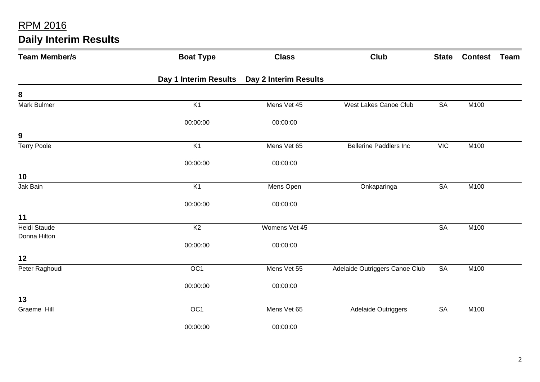| <b>Team Member/s</b>         | <b>Boat Type</b>      | <b>Class</b>          | <b>Club</b>                    | <b>State</b> | <b>Contest</b> | <b>Team</b> |
|------------------------------|-----------------------|-----------------------|--------------------------------|--------------|----------------|-------------|
|                              | Day 1 Interim Results | Day 2 Interim Results |                                |              |                |             |
| 8                            |                       |                       |                                |              |                |             |
| <b>Mark Bulmer</b>           | K1                    | Mens Vet 45           | West Lakes Canoe Club          | <b>SA</b>    | M100           |             |
|                              | 00:00:00              | 00:00:00              |                                |              |                |             |
| $\boldsymbol{9}$             |                       |                       |                                |              |                |             |
| <b>Terry Poole</b>           | K <sub>1</sub>        | Mens Vet 65           | <b>Bellerine Paddlers Inc</b>  | <b>VIC</b>   | M100           |             |
|                              | 00:00:00              | 00:00:00              |                                |              |                |             |
| 10                           |                       |                       |                                |              |                |             |
| Jak Bain                     | K <sub>1</sub>        | Mens Open             | Onkaparinga                    | <b>SA</b>    | M100           |             |
|                              | 00:00:00              | 00:00:00              |                                |              |                |             |
| 11                           |                       |                       |                                |              |                |             |
| Heidi Staude<br>Donna Hilton | K <sub>2</sub>        | Womens Vet 45         |                                | <b>SA</b>    | M100           |             |
|                              | 00:00:00              | 00:00:00              |                                |              |                |             |
| 12                           |                       |                       |                                |              |                |             |
| Peter Raghoudi               | OC1                   | Mens Vet 55           | Adelaide Outriggers Canoe Club | <b>SA</b>    | M100           |             |
|                              | 00:00:00              | 00:00:00              |                                |              |                |             |
| 13                           |                       |                       |                                |              |                |             |
| Graeme Hill                  | OC <sub>1</sub>       | Mens Vet 65           | Adelaide Outriggers            | <b>SA</b>    | M100           |             |
|                              | 00:00:00              | 00:00:00              |                                |              |                |             |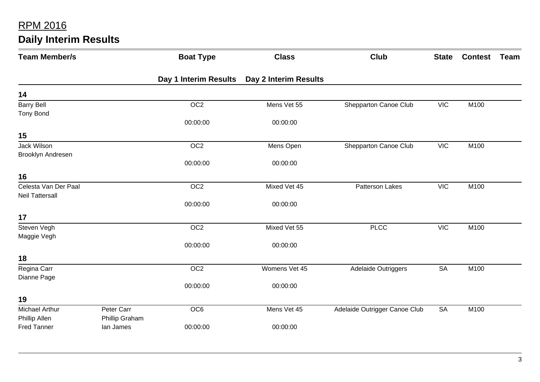| <b>Team Member/s</b>   |                | <b>Boat Type</b>      | <b>Class</b>          | <b>Club</b>                   | <b>State</b> | <b>Contest</b> | Team |
|------------------------|----------------|-----------------------|-----------------------|-------------------------------|--------------|----------------|------|
|                        |                | Day 1 Interim Results | Day 2 Interim Results |                               |              |                |      |
| 14                     |                |                       |                       |                               |              |                |      |
| <b>Barry Bell</b>      |                | OC <sub>2</sub>       | Mens Vet 55           | Shepparton Canoe Club         | <b>VIC</b>   | M100           |      |
| <b>Tony Bond</b>       |                |                       |                       |                               |              |                |      |
|                        |                | 00:00:00              | 00:00:00              |                               |              |                |      |
| 15                     |                |                       |                       |                               |              |                |      |
| Jack Wilson            |                | OC <sub>2</sub>       | Mens Open             | Shepparton Canoe Club         | <b>VIC</b>   | M100           |      |
| Brooklyn Andresen      |                |                       |                       |                               |              |                |      |
|                        |                | 00:00:00              | 00:00:00              |                               |              |                |      |
| 16                     |                |                       |                       |                               |              |                |      |
| Celesta Van Der Paal   |                | OC <sub>2</sub>       | Mixed Vet 45          | Patterson Lakes               | <b>VIC</b>   | M100           |      |
| <b>Neil Tattersall</b> |                |                       |                       |                               |              |                |      |
|                        |                | 00:00:00              | 00:00:00              |                               |              |                |      |
| 17                     |                |                       |                       |                               |              |                |      |
| Steven Vegh            |                | OC <sub>2</sub>       | Mixed Vet 55          | <b>PLCC</b>                   | VIC          | M100           |      |
| Maggie Vegh            |                |                       |                       |                               |              |                |      |
|                        |                | 00:00:00              | 00:00:00              |                               |              |                |      |
| 18                     |                |                       |                       |                               |              |                |      |
| Regina Carr            |                | OC <sub>2</sub>       | Womens Vet 45         | Adelaide Outriggers           | <b>SA</b>    | M100           |      |
| Dianne Page            |                |                       |                       |                               |              |                |      |
|                        |                | 00:00:00              | 00:00:00              |                               |              |                |      |
| 19                     |                |                       |                       |                               |              |                |      |
| Michael Arthur         | Peter Carr     | OC6                   | Mens Vet 45           | Adelaide Outrigger Canoe Club | <b>SA</b>    | M100           |      |
| Phillip Allen          | Phillip Graham |                       |                       |                               |              |                |      |
| <b>Fred Tanner</b>     | lan James      | 00:00:00              | 00:00:00              |                               |              |                |      |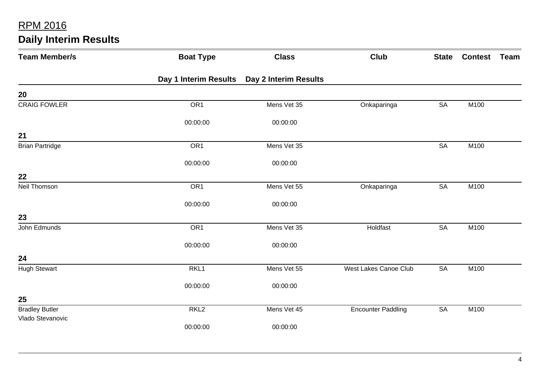| <b>Team Member/s</b>   | <b>Boat Type</b>      | <b>Class</b>          | <b>Club</b>               | <b>State</b>           | <b>Contest</b> | Team |
|------------------------|-----------------------|-----------------------|---------------------------|------------------------|----------------|------|
|                        | Day 1 Interim Results | Day 2 Interim Results |                           |                        |                |      |
| 20                     |                       |                       |                           |                        |                |      |
| <b>CRAIG FOWLER</b>    | OR <sub>1</sub>       | Mens Vet 35           | Onkaparinga               | <b>SA</b>              | M100           |      |
|                        | 00:00:00              | 00:00:00              |                           |                        |                |      |
| 21                     |                       |                       |                           |                        |                |      |
| <b>Brian Partridge</b> | OR <sub>1</sub>       | Mens Vet 35           |                           | <b>SA</b>              | M100           |      |
|                        | 00:00:00              | 00:00:00              |                           |                        |                |      |
| 22                     |                       |                       |                           |                        |                |      |
| Neil Thomson           | OR <sub>1</sub>       | Mens Vet 55           | Onkaparinga               | SA                     | M100           |      |
|                        | 00:00:00              | 00:00:00              |                           |                        |                |      |
| 23                     |                       |                       |                           |                        |                |      |
| John Edmunds           | OR <sub>1</sub>       | Mens Vet 35           | Holdfast                  | $\overline{\text{SA}}$ | M100           |      |
|                        | 00:00:00              | 00:00:00              |                           |                        |                |      |
| 24                     |                       |                       |                           |                        |                |      |
| <b>Hugh Stewart</b>    | RKL1                  | Mens Vet 55           | West Lakes Canoe Club     | <b>SA</b>              | M100           |      |
|                        | 00:00:00              | 00:00:00              |                           |                        |                |      |
| 25                     |                       |                       |                           |                        |                |      |
| <b>Bradley Butler</b>  | RKL <sub>2</sub>      | Mens Vet 45           | <b>Encounter Paddling</b> | <b>SA</b>              | M100           |      |
| Vlado Stevanovic       | 00:00:00              | 00:00:00              |                           |                        |                |      |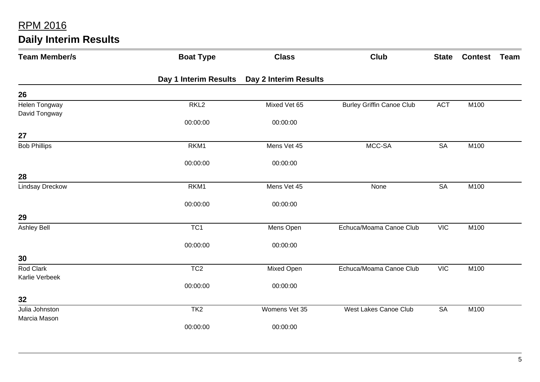| <b>Team Member/s</b>           | <b>Boat Type</b>      | <b>Class</b>          | <b>Club</b>                      | <b>State</b> | <b>Contest</b> | Team |
|--------------------------------|-----------------------|-----------------------|----------------------------------|--------------|----------------|------|
|                                | Day 1 Interim Results | Day 2 Interim Results |                                  |              |                |      |
| 26                             |                       |                       |                                  |              |                |      |
| Helen Tongway<br>David Tongway | RKL <sub>2</sub>      | Mixed Vet 65          | <b>Burley Griffin Canoe Club</b> | <b>ACT</b>   | M100           |      |
|                                | 00:00:00              | 00:00:00              |                                  |              |                |      |
| 27                             |                       |                       |                                  |              |                |      |
| <b>Bob Phillips</b>            | RKM1                  | Mens Vet 45           | MCC-SA                           | <b>SA</b>    | M100           |      |
|                                | 00:00:00              | 00:00:00              |                                  |              |                |      |
| 28                             |                       |                       |                                  |              |                |      |
| <b>Lindsay Dreckow</b>         | RKM1                  | Mens Vet 45           | None                             | SA           | M100           |      |
|                                | 00:00:00              | 00:00:00              |                                  |              |                |      |
| 29                             |                       |                       |                                  |              |                |      |
| <b>Ashley Bell</b>             | TC <sub>1</sub>       | Mens Open             | Echuca/Moama Canoe Club          | <b>VIC</b>   | M100           |      |
|                                | 00:00:00              | 00:00:00              |                                  |              |                |      |
| 30                             |                       |                       |                                  |              |                |      |
| Rod Clark<br>Karlie Verbeek    | TC <sub>2</sub>       | Mixed Open            | Echuca/Moama Canoe Club          | <b>VIC</b>   | M100           |      |
|                                | 00:00:00              | 00:00:00              |                                  |              |                |      |
| 32                             |                       |                       |                                  |              |                |      |
| Julia Johnston                 | TK <sub>2</sub>       | Womens Vet 35         | West Lakes Canoe Club            | <b>SA</b>    | M100           |      |
| Marcia Mason                   | 00:00:00              | 00:00:00              |                                  |              |                |      |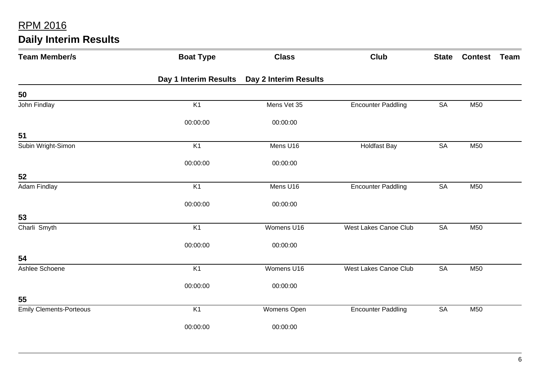| <b>Daily Interim Results</b> |  |  |
|------------------------------|--|--|
|------------------------------|--|--|

| <b>Team Member/s</b>           | <b>Boat Type</b>      | <b>Class</b>          | <b>Club</b>               | <b>State</b> | <b>Contest</b> | Team |
|--------------------------------|-----------------------|-----------------------|---------------------------|--------------|----------------|------|
|                                | Day 1 Interim Results | Day 2 Interim Results |                           |              |                |      |
| 50                             |                       |                       |                           |              |                |      |
| John Findlay                   | K1                    | Mens Vet 35           | <b>Encounter Paddling</b> | <b>SA</b>    | M50            |      |
|                                | 00:00:00              | 00:00:00              |                           |              |                |      |
| 51                             |                       |                       |                           |              |                |      |
| Subin Wright-Simon             | K <sub>1</sub>        | Mens U16              | <b>Holdfast Bay</b>       | <b>SA</b>    | M50            |      |
|                                | 00:00:00              | 00:00:00              |                           |              |                |      |
| 52                             |                       |                       |                           |              |                |      |
| Adam Findlay                   | K <sub>1</sub>        | Mens U16              | <b>Encounter Paddling</b> | <b>SA</b>    | M50            |      |
|                                | 00:00:00              | 00:00:00              |                           |              |                |      |
| 53                             |                       |                       |                           |              |                |      |
| Charli Smyth                   | K1                    | Womens U16            | West Lakes Canoe Club     | <b>SA</b>    | M50            |      |
|                                | 00:00:00              | 00:00:00              |                           |              |                |      |
| 54                             |                       |                       |                           |              |                |      |
| Ashlee Schoene                 | K1                    | Womens U16            | West Lakes Canoe Club     | <b>SA</b>    | M50            |      |
|                                | 00:00:00              | 00:00:00              |                           |              |                |      |
| 55                             |                       |                       |                           |              |                |      |
| <b>Emily Clements-Porteous</b> | K <sub>1</sub>        | Womens Open           | <b>Encounter Paddling</b> | SA           | M50            |      |
|                                | 00:00:00              | 00:00:00              |                           |              |                |      |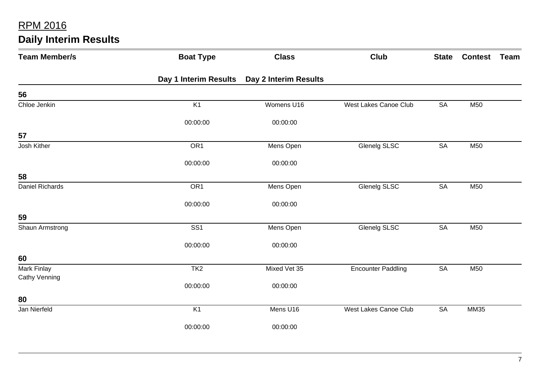| <b>Daily Interim Results</b> |  |
|------------------------------|--|
|------------------------------|--|

| <b>Team Member/s</b>                | <b>Boat Type</b>      | <b>Class</b>          | <b>Club</b>                  | <b>State</b> | <b>Contest</b> | Team |
|-------------------------------------|-----------------------|-----------------------|------------------------------|--------------|----------------|------|
|                                     | Day 1 Interim Results | Day 2 Interim Results |                              |              |                |      |
| 56                                  |                       |                       |                              |              |                |      |
| Chloe Jenkin                        | K <sub>1</sub>        | Womens U16            | <b>West Lakes Canoe Club</b> | <b>SA</b>    | M50            |      |
|                                     | 00:00:00              | 00:00:00              |                              |              |                |      |
| 57                                  |                       |                       |                              |              |                |      |
| Josh Kither                         | OR <sub>1</sub>       | Mens Open             | <b>Glenelg SLSC</b>          | SA           | M50            |      |
|                                     | 00:00:00              | 00:00:00              |                              |              |                |      |
| 58                                  |                       |                       |                              |              |                |      |
| Daniel Richards                     | OR <sub>1</sub>       | Mens Open             | Glenelg SLSC                 | <b>SA</b>    | M50            |      |
|                                     | 00:00:00              | 00:00:00              |                              |              |                |      |
| 59                                  |                       |                       |                              |              |                |      |
| Shaun Armstrong                     | SS <sub>1</sub>       | Mens Open             | Glenelg SLSC                 | <b>SA</b>    | M50            |      |
|                                     | 00:00:00              | 00:00:00              |                              |              |                |      |
| 60                                  |                       |                       |                              |              |                |      |
| Mark Finlay<br><b>Cathy Venning</b> | TK <sub>2</sub>       | Mixed Vet 35          | <b>Encounter Paddling</b>    | <b>SA</b>    | M50            |      |
|                                     | 00:00:00              | 00:00:00              |                              |              |                |      |
| 80                                  |                       |                       |                              |              |                |      |
| Jan Nierfeld                        | K <sub>1</sub>        | Mens U16              | West Lakes Canoe Club        | <b>SA</b>    | <b>MM35</b>    |      |
|                                     | 00:00:00              | 00:00:00              |                              |              |                |      |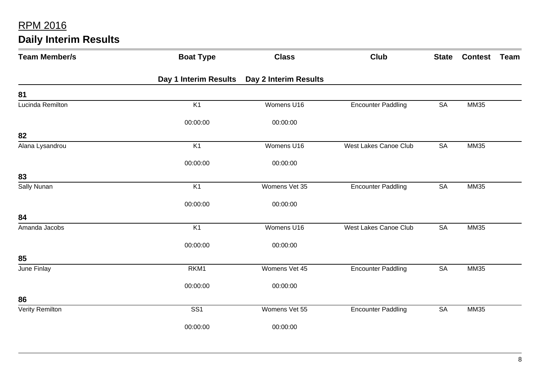| <b>Team Member/s</b> | <b>Boat Type</b>      | <b>Class</b>          | <b>Club</b>                  | <b>State</b> | <b>Contest</b> | Team |
|----------------------|-----------------------|-----------------------|------------------------------|--------------|----------------|------|
|                      | Day 1 Interim Results | Day 2 Interim Results |                              |              |                |      |
| 81                   |                       |                       |                              |              |                |      |
| Lucinda Remilton     | K <sub>1</sub>        | Womens U16            | <b>Encounter Paddling</b>    | <b>SA</b>    | <b>MM35</b>    |      |
|                      | 00:00:00              | 00:00:00              |                              |              |                |      |
| 82                   |                       |                       |                              |              |                |      |
| Alana Lysandrou      | K <sub>1</sub>        | Womens U16            | <b>West Lakes Canoe Club</b> | <b>SA</b>    | <b>MM35</b>    |      |
|                      | 00:00:00              | 00:00:00              |                              |              |                |      |
| 83                   |                       |                       |                              |              |                |      |
| Sally Nunan          | K <sub>1</sub>        | Womens Vet 35         | <b>Encounter Paddling</b>    | <b>SA</b>    | <b>MM35</b>    |      |
|                      | 00:00:00              | 00:00:00              |                              |              |                |      |
| 84                   |                       |                       |                              |              |                |      |
| Amanda Jacobs        | K <sub>1</sub>        | Womens U16            | <b>West Lakes Canoe Club</b> | <b>SA</b>    | <b>MM35</b>    |      |
|                      | 00:00:00              | 00:00:00              |                              |              |                |      |
| 85                   |                       |                       |                              |              |                |      |
| June Finlay          | RKM1                  | Womens Vet 45         | <b>Encounter Paddling</b>    | <b>SA</b>    | <b>MM35</b>    |      |
|                      | 00:00:00              | 00:00:00              |                              |              |                |      |
| 86                   |                       |                       |                              |              |                |      |
| Verity Remilton      | SS <sub>1</sub>       | Womens Vet 55         | <b>Encounter Paddling</b>    | <b>SA</b>    | <b>MM35</b>    |      |
|                      | 00:00:00              | 00:00:00              |                              |              |                |      |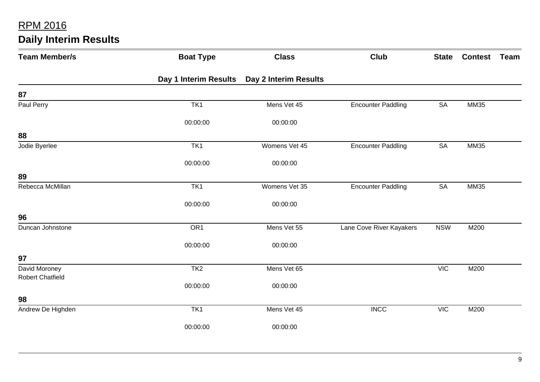| <b>Team Member/s</b>                     | <b>Boat Type</b>      | <b>Class</b>          | <b>Club</b>               | <b>State</b> | <b>Contest</b> | Team |
|------------------------------------------|-----------------------|-----------------------|---------------------------|--------------|----------------|------|
|                                          | Day 1 Interim Results | Day 2 Interim Results |                           |              |                |      |
| 87                                       |                       |                       |                           |              |                |      |
| Paul Perry                               | TK1                   | Mens Vet 45           | <b>Encounter Paddling</b> | <b>SA</b>    | MM35           |      |
|                                          | 00:00:00              | 00:00:00              |                           |              |                |      |
| 88                                       |                       |                       |                           |              |                |      |
| Jodie Byerlee                            | TK1                   | Womens Vet 45         | <b>Encounter Paddling</b> | SA           | <b>MM35</b>    |      |
|                                          | 00:00:00              | 00:00:00              |                           |              |                |      |
| 89                                       |                       |                       |                           |              |                |      |
| Rebecca McMillan                         | TK1                   | Womens Vet 35         | <b>Encounter Paddling</b> | <b>SA</b>    | MM35           |      |
|                                          | 00:00:00              | 00:00:00              |                           |              |                |      |
| 96                                       |                       |                       |                           |              |                |      |
| Duncan Johnstone                         | OR <sub>1</sub>       | Mens Vet 55           | Lane Cove River Kayakers  | <b>NSW</b>   | M200           |      |
|                                          | 00:00:00              | 00:00:00              |                           |              |                |      |
| 97                                       |                       |                       |                           |              |                |      |
| David Moroney<br><b>Robert Chatfield</b> | TK <sub>2</sub>       | Mens Vet 65           |                           | <b>VIC</b>   | M200           |      |
|                                          | 00:00:00              | 00:00:00              |                           |              |                |      |
| 98                                       |                       |                       |                           |              |                |      |
| Andrew De Highden                        | TK1                   | Mens Vet 45           | <b>INCC</b>               | <b>VIC</b>   | M200           |      |
|                                          | 00:00:00              | 00:00:00              |                           |              |                |      |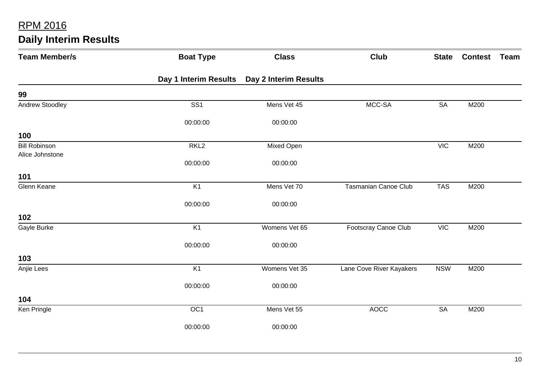| <b>Team Member/s</b>                    | <b>Boat Type</b>        | <b>Class</b>          | <b>Club</b>              | <b>State</b> | <b>Contest</b> | <b>Team</b> |
|-----------------------------------------|-------------------------|-----------------------|--------------------------|--------------|----------------|-------------|
|                                         | Day 1 Interim Results   | Day 2 Interim Results |                          |              |                |             |
| 99                                      |                         |                       |                          |              |                |             |
| <b>Andrew Stoodley</b>                  | $\overline{\text{SS1}}$ | Mens Vet 45           | MCC-SA                   | <b>SA</b>    | M200           |             |
|                                         | 00:00:00                | 00:00:00              |                          |              |                |             |
| 100                                     |                         |                       |                          |              |                |             |
| <b>Bill Robinson</b><br>Alice Johnstone | RKL <sub>2</sub>        | Mixed Open            |                          | <b>VIC</b>   | M200           |             |
|                                         | 00:00:00                | 00:00:00              |                          |              |                |             |
| 101                                     |                         |                       |                          |              |                |             |
| Glenn Keane                             | K <sub>1</sub>          | Mens Vet 70           | Tasmanian Canoe Club     | <b>TAS</b>   | M200           |             |
|                                         | 00:00:00                | 00:00:00              |                          |              |                |             |
| 102                                     |                         |                       |                          |              |                |             |
| Gayle Burke                             | K1                      | Womens Vet 65         | Footscray Canoe Club     | <b>VIC</b>   | M200           |             |
|                                         | 00:00:00                | 00:00:00              |                          |              |                |             |
| 103                                     |                         |                       |                          |              |                |             |
| Anjie Lees                              | K1                      | Womens Vet 35         | Lane Cove River Kayakers | <b>NSW</b>   | M200           |             |
|                                         | 00:00:00                | 00:00:00              |                          |              |                |             |
| 104                                     |                         |                       |                          |              |                |             |
| Ken Pringle                             | OC <sub>1</sub>         | Mens Vet 55           | <b>AOCC</b>              | <b>SA</b>    | M200           |             |
|                                         | 00:00:00                | 00:00:00              |                          |              |                |             |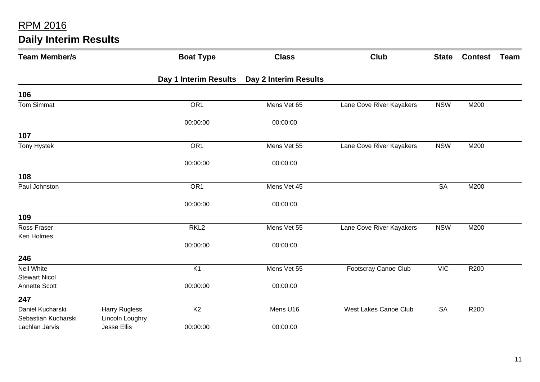| <b>Team Member/s</b>                  |                                       | <b>Boat Type</b>      | <b>Class</b>          | <b>Club</b>              | <b>State</b> | <b>Contest</b> | <b>Team</b> |
|---------------------------------------|---------------------------------------|-----------------------|-----------------------|--------------------------|--------------|----------------|-------------|
|                                       |                                       | Day 1 Interim Results | Day 2 Interim Results |                          |              |                |             |
| 106                                   |                                       |                       |                       |                          |              |                |             |
| <b>Tom Simmat</b>                     |                                       | OR <sub>1</sub>       | Mens Vet 65           | Lane Cove River Kayakers | <b>NSW</b>   | M200           |             |
|                                       |                                       | 00:00:00              | 00:00:00              |                          |              |                |             |
| 107                                   |                                       |                       |                       |                          |              |                |             |
| <b>Tony Hystek</b>                    |                                       | OR <sub>1</sub>       | Mens Vet 55           | Lane Cove River Kayakers | <b>NSW</b>   | M200           |             |
|                                       |                                       | 00:00:00              | 00:00:00              |                          |              |                |             |
| 108                                   |                                       |                       |                       |                          |              |                |             |
| Paul Johnston                         |                                       | OR <sub>1</sub>       | Mens Vet 45           |                          | <b>SA</b>    | M200           |             |
|                                       |                                       | 00:00:00              | 00:00:00              |                          |              |                |             |
| 109                                   |                                       |                       |                       |                          |              |                |             |
| Ross Fraser                           |                                       | RKL <sub>2</sub>      | Mens Vet 55           | Lane Cove River Kayakers | <b>NSW</b>   | M200           |             |
| Ken Holmes                            |                                       | 00:00:00              | 00:00:00              |                          |              |                |             |
| 246                                   |                                       |                       |                       |                          |              |                |             |
| Neil White<br><b>Stewart Nicol</b>    |                                       | K <sub>1</sub>        | Mens Vet 55           | Footscray Canoe Club     | <b>VIC</b>   | R200           |             |
| <b>Annette Scott</b>                  |                                       | 00:00:00              | 00:00:00              |                          |              |                |             |
| 247                                   |                                       |                       |                       |                          |              |                |             |
| Daniel Kucharski                      | <b>Harry Rugless</b>                  | K <sub>2</sub>        | Mens U16              | West Lakes Canoe Club    | <b>SA</b>    | R200           |             |
| Sebastian Kucharski<br>Lachlan Jarvis | Lincoln Loughry<br><b>Jesse Ellis</b> | 00:00:00              | 00:00:00              |                          |              |                |             |